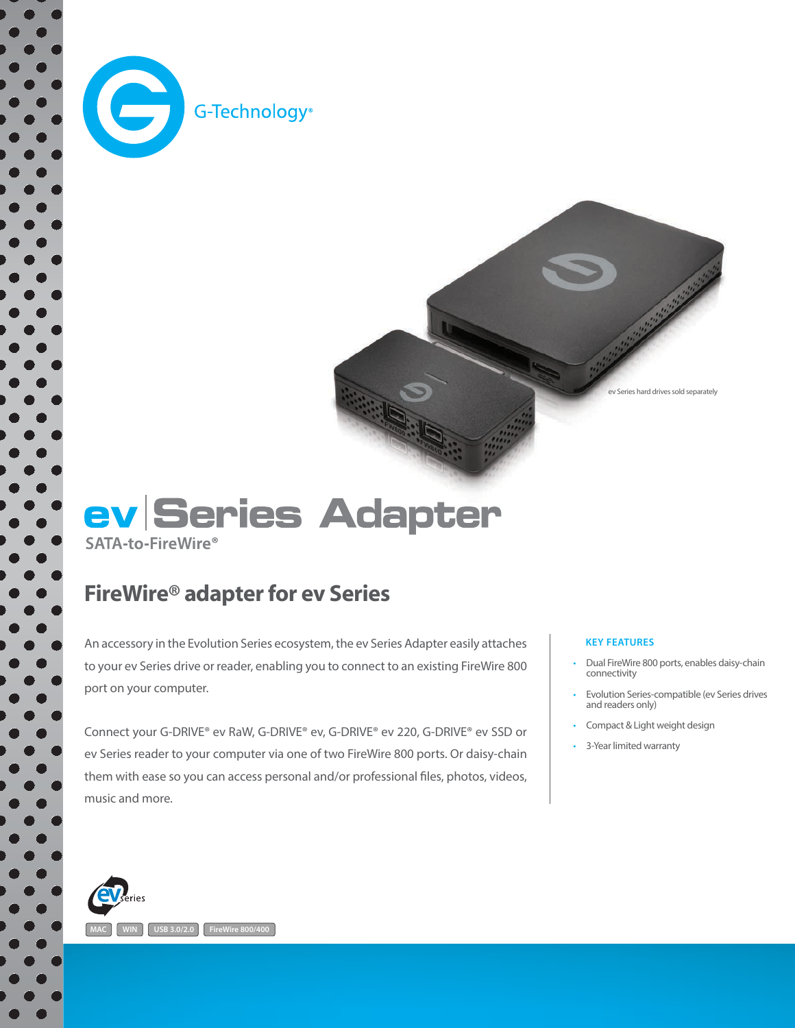

 $\bullet$ 



## ev Series Adapter SATA-to-FireWire<sup>®</sup>

## FireWire® adapter for ev Series

An accessory in the Evolution Series ecosystem, the ev Series Adapter easily attaches to your ev Series drive or reader, enabling you to connect to an existing FireWire 800 port on your computer.

Connect your G-DRIVE® ev RaW, G-DRIVE® ev, G-DRIVE® ev 220, G-DRIVE® ev SSD or ev Series reader to your computer via one of two FireWire 800 ports. Or daisy-chain them with ease so you can access personal and/or professional files, photos, videos, music and more.

#### **KEY FEATURES**

- Dual FireWire 800 ports, enables daisy-chain connectivity
- Evolution Series-compatible (ev Series drives and readers only)
- Compact & Light weight design
- 3-Year limited warranty